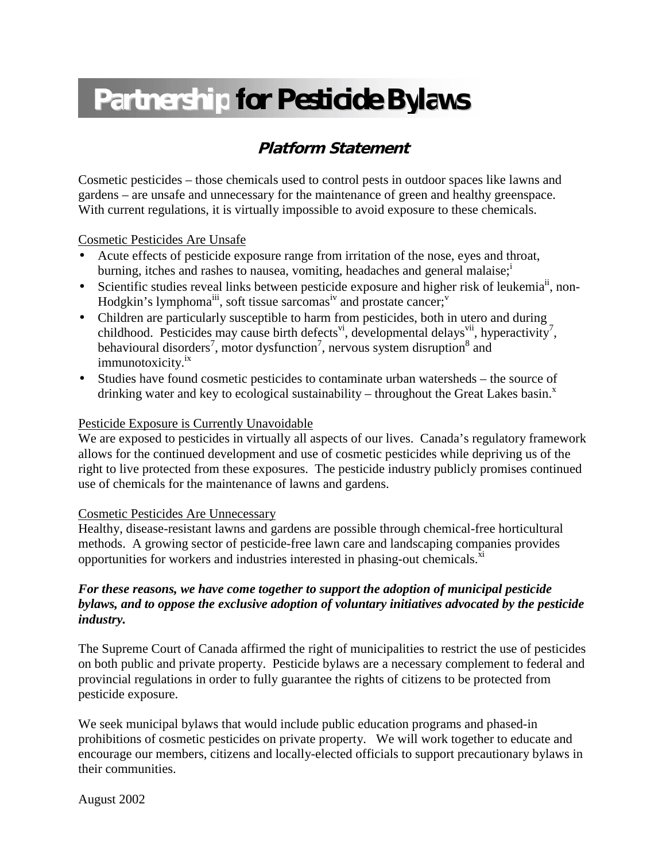# **Partnership for Pesticide Bylaws**

## **Platform Statement**

Cosmetic pesticides – those chemicals used to control pests in outdoor spaces like lawns and gardens – are unsafe and unnecessary for the maintenance of green and healthy greenspace. With current regulations, it is virtually impossible to avoid exposure to these chemicals.

#### Cosmetic Pesticides Are Unsafe

- Acute effects of pesticide exposure range from irritation of the nose, eyes and throat, burn[i](#page-1-0)ng, itches and rashes to nausea, vomiting, headaches and general malaise; $\cdot$
- Scientific studies reveal links between pesticide exposure and higher risk of leukemia<sup>ii</sup>, non-Hodgkin's lymphoma<sup>iii</sup>, soft tissue sarcomas<sup>iv</sup> and prostate cancer;<sup>v</sup>
- Children are particularly susceptible to harm from pesticides, both in utero and during childhood. Pesticides may cause birth defects<sup>vi</sup>, developmental delays<sup>vii</sup>, hyperactivity<sup>[7](#page-1-0)</sup>, behavioural disorders<sup>7</sup>, motor dysfunction<sup>7</sup>, nervous system disruption<sup>8</sup> and immunotoxicity.<sup>1X</sup>
- Studies have found cosmetic pesticides to contaminate urban watersheds the source of drinking water and key to ecological sustainability – throughout the Great Lakes basin. $^x$

#### Pesticide Exposure is Currently Unavoidable

We are exposed to pesticides in virtually all aspects of our lives. Canada's regulatory framework allows for the continued development and use of cosmetic pesticides while depriving us of the right to live protected from these exposures. The pesticide industry publicly promises continued use of chemicals for the maintenance of lawns and gardens.

#### Cosmetic Pesticides Are Unnecessary

Healthy, disease-resistant lawns and gardens are possible through chemical-free horticultural methods. A growing sector of pesticide-free lawn care and landscaping companies provides opportunities for workers and industries interested in phasing-out chemicals.<sup>xi</sup>

#### *For these reasons, we have come together to support the adoption of municipal pesticide bylaws, and to oppose the exclusive adoption of voluntary initiatives advocated by the pesticide industry.*

The Supreme Court of Canada affirmed the right of municipalities to restrict the use of pesticides on both public and private property. Pesticide bylaws are a necessary complement to federal and provincial regulations in order to fully guarantee the rights of citizens to be protected from pesticide exposure.

We seek municipal bylaws that would include public education programs and phased-in prohibitions of cosmetic pesticides on private property. We will work together to educate and encourage our members, citizens and locally-elected officials to support precautionary bylaws in their communities.

August 2002